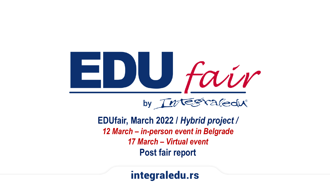

Redu® by  $\pi$ 

**EDUfair, March 2022 /** *Hybrid project / 12 March – in-person event in Belgrade 17 March – Virtual event* **Post fair report**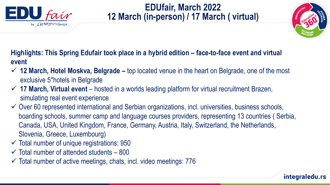

# **EDUfair, March 2022 12 March (in-person) / 17 March ( virtual)**



**Highlights: This Spring Edufair took place in a hybrid edition – face-to-face event and virtual event**

- **12 March, Hotel Moskva, Belgrade –** top located venue in the heart on Belgrade, one of the most exclusive 5\*hotels in Belgrade
- **17 March, Virtual event**  hosted in a worlds leading platform for virtual recruitment Brazen, simulating real event experience
- $\checkmark$  Over 60 represented international and Serbian organizations, incl. universities, business schools, boarding schools, summer camp and language courses providers, representing 13 countries ( Serbia, Canada, USA, United Kingdom, France, Germany, Austria, Italy, Switzerland, the Netherlands, Slovenia, Greece, Luxembourg)
- $\checkmark$  Total number of unique registrations: 950
- $\checkmark$  Total number of attended students 800
- $\checkmark$  Total number of active meetings, chats, incl. video meetings: 776

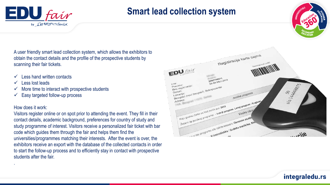

# **Smart lead collection system**



A user friendly smart lead collection system, which allows the exhibitors to obtain the contact details and the profile of the prospective students by scanning their fair tickets.

- $\checkmark$  Less hand written contacts
- Less lost leads
- $\checkmark$  More time to interact with prospective students
- Easy targeted follow-up process

### How does it work:

.

Visitors register online or on spot prior to attending the event. They fill in their contact details, academic background, preferences for country of study and study programme of interest. Visitors receive a personalized fair ticket with bar code which guides them through the fair and helps them find the universities/programmes matching their interests. After the event is over, the exhibitors receive an export with the database of the collected contacts in order to start the follow-up process and to efficiently stay in contact with prospective students after the fair.

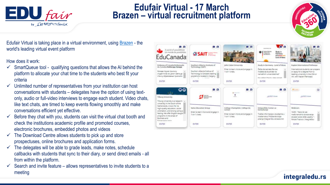

# **Edufair Virtual - 17 March Brazen – virtual recruitment platform**



Edufair Virtual is taking place in a virtual environment, using [Brazen](http://www.brazen.com/) - the world's leading virtual event platform

How does it work:

- $\checkmark$  SmartQueue tool qualifying questions that allows the AI behind the platform to allocate your chat time to the students who best fit your criteria
- $\checkmark$  Unlimited number of representatives from your institution can host conversations with students – delegates have the option of using textonly, audio or full-video interviews to engage each student. Video chats, like text chats, are timed to keep events flowing smoothly and make conversations efficient yet effective.
- $\checkmark$  Before they chat with you, students can visit the virtual chat booth and check the institutions academic profile and promoted courses, electronic brochures, embedded photos and videos
- $\checkmark$  The Download Centre allows students to pick up and store prospectuses, online brochures and application forms.
- $\checkmark$  The delegates will be able to grade leads, make notes, schedule callbacks with students that sync to their diary, or send direct emails - all from within the platform.
- $\checkmark$  Search and invite feature allows representatives to invite students to a meeting

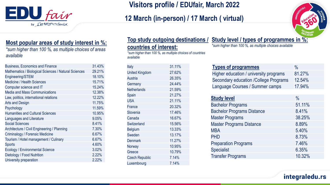

## **Visitors profile / EDUfair, March 2022**

## **12 March (in-person) / 17 March ( virtual)**



### **Most popular areas of study interest in %:**

*\*sum higher than 100 %, as multiple choices of areas available*

| <b>Business, Economics and Finance</b>               | 31.43% |
|------------------------------------------------------|--------|
| Mathematics / Biological Sciences / Natural Sciences | 29.21% |
| Engineering/STEM                                     | 18.10% |
| <b>Medicine / Health Sciences</b>                    | 15.71% |
| Computer science and IT                              | 15.24% |
| <b>Media and Mass Communications</b>                 | 12.38% |
| Law, politics, international relations               | 12.22% |
| <b>Arts and Design</b>                               | 11.75% |
| Psychology                                           | 11.59% |
| <b>Humanities and Cultural Sciences</b>              | 10.95% |
| Languages and Literature                             | 9.05%  |
| <b>Social Sciences</b>                               | 8.41%  |
| Architecture / Civil Engineering / Planning          | 7.30%  |
| Criminalogy / Forensic Medicine                      | 6.67%  |
| Tourism / Hotel management / Culinary                | 6.67%  |
| <b>Sports</b>                                        | 4.60%  |
| <b>Ecology / Environmental Science</b>               | 3.02%  |
| Dietology / Food Nutrition                           | 2.22%  |
| University preparation                               | 2.22%  |

### **countries of interest:**

*\*sum higher than 100 %, as multiple choices of countries available*

| Italy                 | 31.11% |
|-----------------------|--------|
| <b>United Kingdom</b> | 27.62% |
| <b>Austria</b>        | 26.35% |
| Germany               | 24.44% |
| <b>Netherlands</b>    | 21.59% |
| Spain                 | 21.27% |
| <b>USA</b>            | 21.11% |
| France                | 20.32% |
| Slovenia              | 17.46% |
| Canada                | 16.67% |
| Switzerland           | 15.56% |
| <b>Belgium</b>        | 13.33% |
| Sweden                | 13.17% |
| <b>Denmark</b>        | 11.27% |
| Norway                | 10.95% |
| Greece                | 10.79% |
| <b>Czech Republic</b> | 7.14%  |
| Luxembourg            | 7.14%  |

**Top study outgoing destinations / Study level / types of programmes in %:** 

*\*sum higher than 100 %, as multiple choices available* 

| <b>Types of programmes</b>                   | $\frac{0}{0}$ |
|----------------------------------------------|---------------|
| Higher education / university programs       | 81.27%        |
| <b>Secondary education /College Programs</b> | 12.54%        |
| Language Courses / Summer camps              | 17.94%        |

| <b>Study level</b>                | $\frac{0}{0}$ |
|-----------------------------------|---------------|
| <b>Bachelor Programs</b>          | 51.11%        |
| <b>Bachelor Programs Distance</b> | 8.41%         |
| <b>Master Programs</b>            | 38.25%        |
| <b>Master Programs Distance</b>   | 8.89%         |
| <b>MBA</b>                        | 5.40%         |
| <b>PHD</b>                        | 8.73%         |
| <b>Preparation Programs</b>       | 7.46%         |
| <b>Specialist</b>                 | 6.35%         |
| <b>Transfer Programs</b>          | 10.32%        |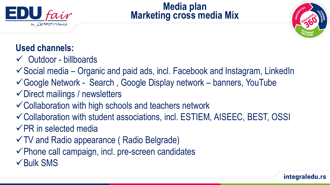

**Media plan Marketing cross media Mix**



# **Used channels:**

- $\checkmark$  Outdoor billboards
- $\checkmark$  Social media Organic and paid ads, incl. Facebook and Instagram, LinkedIn
- Google Network Search , Google Display network banners, YouTube
- Direct mailings / newsletters
- Collaboration with high schools and teachers network
- Collaboration with student associations, incl. ESTIEM, AISEEC, BEST, OSSI  $\sqrt{PR}$  in selected media
- TV and Radio appearance ( Radio Belgrade)
- $\checkmark$  Phone call campaign, incl. pre-screen candidates
- $\checkmark$  Bulk SMS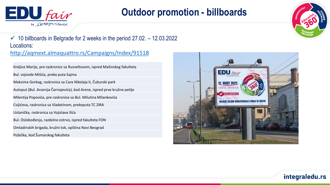

# **Outdoor promotion - billboards**



 $\checkmark$  10 billboards in Belgrade for 2 weeks in the period 27.02. – 12.03.2022 Locations: <http://aqmext.almaquattro.rs/Campaigns/Index/91518>

Kraljice Marije, pre raskrsnice sa Ruzveltovom, ispred Mašinskog fakulteta Bul. vojvode Mišića, preko puta Sajma Maksima Gorkog, raskrsnica sa Cara Nikolaja II, Čuburski park Autoput (Bul. Arsenija Čarnojevića), kod Arene, ispred prve kružne petlje Milentija Popovića, pre raskrsnice sa Bul. Milutina Milankovića Cvijićeva, raskrsnica sa Vladetinom, prekoputa TC ZIRA Ustanička, raskrsnica sa Vojislava Ilića Bul. Oslobođenja, razdelno ostrvo, ispred fakulteta FON Omladinskih brigada, kružni tok, opština Novi Beograd Požeška, kod Šumarskog fakulteta

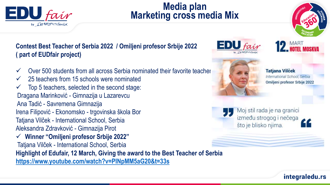

**( part of EUDfair project)**

 $\checkmark$  25 teachers from 15 schools were nominated

Irena Filipović - Ekonomsko - trgovinska škola Bor

Dragana Marinković - Gimnazija u Lazarevcu

Tatjana Vilček - International School, Serbia

Ana Tadić - Savremena Gimnazija

Top 5 teachers, selected in the second stage:

# **Media plan Marketing cross media Mix**



**Tatiana Vilček** International School, Serbia Omiljeni profesor Srbije 2022

Moj stil rada je na granici između strogog i nečega što je blisko njima.

Aleksandra Zdravković - Gimnazija Pirot **Winner "Omiljeni profesor Srbije 2022"** Tatjana Vilček - International School, Serbia **Highlight of Edufair, 12 March, Giving the award to the Best Teacher of Serbia <https://www.youtube.com/watch?v=PINpMM5aG20&t=33s>**

**Contest Best Teacher of Serbia 2022 / Omiljeni profesor Srbije 2022**

 $\checkmark$  Over 500 students from all across Serbia nominated their favorite teacher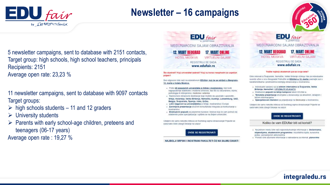

# **Newsletter – 16 campaigns**



**17. MART ONLINE** 

**VIRTUELNI SAJAM** 

5 newsletter campaigns, sent to database with 2151 contacts, Target group: high schools, high school teachers, principals Recipients: 2151 Average open rate: 23,23 %

11 newsletter campaigns, sent to database with 9097 contacts Target groups:

- $\triangleright$  high schools students 11 and 12 graders
- $\triangleright$  University students
- $\triangleright$  Parents with early school-age children, preteens and teenagers (06-17 years)

Average open rate : 19,27 %



Šta studirati? Koji univerzitet izabrati? Koji su koraci neophodni za uspešan prijem?

Sve odgovore čete nači na edukativnom EDUfair, koji će se održači u Beogradu 12. marta u hotelu Moskva.

- Preko 40 popularnih univerziteta iz Srbije i inostranstva, koji nude najpopularnije etablirane i moderne smerove, kao što su računarstvo, biznis, psihologija ili inženjerstvo, medicina i veterina
- · Raznovrsne obrazovne destinacije koje možete da upoznate i uporedite Srbija, Holandija, Velika Britanija, Nemačka, Austrija, Luksemburg, SAD, Belgija, Švajcarska, Španija, Irska, Grčka.
- · Lični razgovori sa univerzitetima iz Srbije, inostranstva i Evrope
- · Zanimljive prezentacije stručnih konsultanata integrala za konkurisanje u inostranstvu
- Ekskluzivni popusti za pripremne kurseve i lestove koji će vam pomoći da odaberete prave specijalizacije i upišete se na željeni univerzitet.

Udaljeni ste samo nekoliko klikova od Svetskog sajma obrazovanjal Prijavite se sada kako biste izbegli čekanje na ulazul

**OVDE SE REGISTROVATI** 

NAJBOLJI SRPSKI I INOSTRANI FAKULTETI ČE NA SAJMU DAVATI



MEĐUNARODNI SAJAM OBRAZOVANJA

#### Tražite najbolji akademski put za svoje dete?

Elitni internati iz Švajcarske, Nemačke, Velike Britanije očekuju Vas za individualne susrete uživo u srcu Beogradal Pridružite se EDUfair-u 12. marta i saznajte sve o karakteristikama i prednostima srednjeg obrazovanja u inostranstvu.

- Individualni sastanci sa sa elitnim internatima iz Švajcarske, Velike Britanije, Nemačke! ( UPOZNAJTE IZLAGAČE)
- · Ekskluzivni popusti na letnje kampove lokom EDUfair-a.

**12. MART BEOGRAD** 

**HOTEL MOSKVA** 

- · Tematske prezentacije stručnjaka u obrazovanju sa aktuelnim, detaljnim tačnim informacijama
- · Specijalizovani štandovi za prijavljivanje na školovanje u inostranstvu.

Udaljeni ste samo nekoliko klikova od Svetskog sajma obrazovanjal Prijavite se sada kako biste izbegli čekanje na ulazul

#### **OVDE SE REGISTROVAT**

Koliko će vam EDUfair biti od koristi?

- · Na jednom mestu čete nači najsveobuhvatnije informacije o: školarinama, stipendijama, akademskim programima i rezultatima ispita, kursevima jezika, vannastavnim aktivnostima
- · Pronaci cete azurirane informacije o naknadama za internat, planovima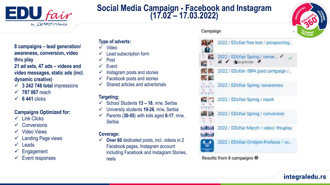

## **Social Media Campaign - Facebook and Instagram (17.02 – 17.03.2022)**



**8 campaigns – lead generation/ awareness, conversion, video thru play**

**21 ad sets, 47 ads – videos and video messages, static ads (incl. dynamic creative)** 

- **3 242 746 total** impressions
- **787 067** reach
- $\checkmark$  6 441 clicks

### **Campaigns Optimized for:**

- $\checkmark$  Link Clicks
- $\checkmark$  Conversions
- Video Views
- Landing Page views
- $\checkmark$  Leads
- Engagement
- Event responses

### **Type of adverts:**

- $\checkmark$  Video
- Lead subscription form
- Post
- $\checkmark$  Event
- $\checkmark$  Instagram posts and stories
- $\checkmark$  Facebook posts and stories
- Shared articles and advertorials

### **Targeting:**

- School Students **13 – 18**, m/w, Serbia
- University students **19-26**, m/w, Serbia
- $\checkmark$  Parents (30-55) with kids aged 8-17, m/w, **Serbia**

### **Coverage:**

 $\checkmark$  Over 60 dedicated posts, incl. videos in 2 Facebook pages, Instagram account including Facebook and Instagram Stories, reels

### Campaign



Results from 8 campaigns @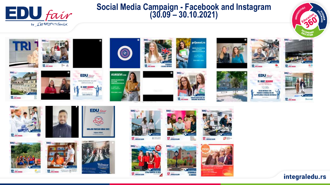

## **Social Media Campaign - Facebook and Instagram (30.09 – 30.10.2021)**













12. MART 2012<br>HOTEL MOSPIE

**CERAMO VAN** 







DORGANY, BESPLAYAN TEN



















12. am was



12. нев. мина



















17. IMMINUM





integraledu.rs





**12. im mm** 





z



*<b>B BANFRIC*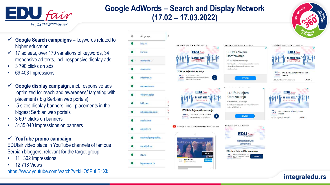

## **Google AdWords – Search and Display Network (17.02 – 17.03.2022)**

- **Google Search campaigns –** keywords related to higher education
- $\checkmark$  17 ad sets, over 170 variations of keywords, 34 responsive ad texts, incl. responsive display ads
- 3 790 clicks on ads
- 69 403 Impressions
- **Google display campaign,** incl. responsive ads ,optimized for reach and awareness/ targeting with placement ( big Serbian web portals)
- 5 sizes display banners, incl. placements in the biggest Serbian web portals
- 3 607 clicks on banners
- 3135 040 impressions on banners

### **YouTube promo campaign**

EDUfair video place in YouTube channels of famous Serbian bloggers, relevant for the target group

- 111 302 Impressions
- 12 718 Views

<https://www.youtube.com/watch?v=kHO5PuLB1Xk>

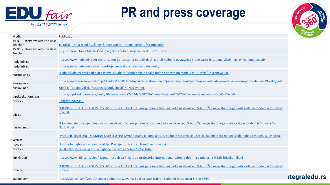

# **PR and press coverage**



| Media                                      | Publication                                                                                                                                                                   | <b>PUCATION</b>      |
|--------------------------------------------|-------------------------------------------------------------------------------------------------------------------------------------------------------------------------------|----------------------|
| TV N1 - Interview with the Best            |                                                                                                                                                                               |                      |
| Teacher                                    | Tri tačke: Tanja Nikolić Čičanović, Boris Šribar, Tatjana Vilček (n1info.com)                                                                                                 |                      |
| TV N1 - Interview with the Best<br>Teacher | (90) Tri tačke: Tanja Nikolić Čičanović, Boris Šribar, Tatjana Vilček - YouTube                                                                                               |                      |
| nedeljnik.rs                               | https://www.nedeljnik.rs/u-susret-sajmu-obrazovanja-edufair-daci-izabrali-najbolju-nastavnicu-srbije-zasto-je-tatjana-vilcek-nastavnica-buducnosti/                           |                      |
| nedeljnik.rs                               | https://www.nedeljnik.rs/zasto-je-tatjana-vilcek-nastavnica-buducnosti/                                                                                                       |                      |
| euronews.rs                                | Srednjoškolci izabrali najbolju nastavnicu Srbije: "Mnoge škole i dalje rade sa decom po modelu iz 19. veka" (euronews.rs)                                                    |                      |
| euronews.rs                                | https://www.euronews.rs/srbija/drustvo/39901/srednjoskolci-izabrali-najbolju-nastavnicu-srbije-mnoge-skole-i-dalje-rade-sa-decom-po-modelu-iz-19-veka/vest                    |                      |
| naslovi.net                                | Zašto je Tatjana Vilček "nastavnica budućnosti"? - Naslovi.net                                                                                                                |                      |
| srpskaekonomija.rs                         | https://srpskaekonomija.rs/vesti/10/1/Nastavnic/24644/Za%C5%A1to-je-Tatjana-Vil%C4%8Dek-nastavnica-budu%C4%87nosti                                                            |                      |
| nova.rs                                    | Podcast (nova.rs)                                                                                                                                                             |                      |
| blic.rs                                    | "MOBILNE TELEFONE I GEJMING UVESTI U NASTAVU" Tatjana je ponela titulu najbolje nastavnice u Srbiji: "Žao mi je što mnoge škole rade po modelu iz 19. veka"<br>(blic.rs)      |                      |
| naslovi.net                                | "Mobilne telefone i gejming uvesti u nastavu": Tatjana je ponela titulu najbolje nastavnice u Srbiji: "Žao mi je što mnoge škole rade po modelu iz 19. veka" -<br>Naslovi.net |                      |
| vesti.rs                                   | 'MOBILNE TELEFONE I GEJMING UVESTI U NASTAVU' Tatjana je ponela titulu najbolje nastavnice u Srbiji: 'Žao mi je što mnoge škole rade po modelu iz 19. veka'                   |                      |
| nova.rs                                    | Upoznajte najbolju nastavnicu Srbije: Predaje biznis i prati trendove (nova.rs)                                                                                               |                      |
| nova.rs                                    | (103) Kako se zaslužuje titula najbolje nastavnice Srbije? - YouTube                                                                                                          |                      |
| link Group                                 | https://www.link.co.rs/blog/izuzetan-uspeh-za-linkgroup-profesorka-international-schoola-dobitnica-priznanja-%E2%80%9Eomiljeni                                                |                      |
| time.rs                                    | "MOBILNE TELEFONE I GEJMING UVESTI U NASTAVU" Tatjana je ponela titulu najbolje nastavnice u Srbiji: "Žao mi je što mnoge škole rade po modelu iz 19. veka"<br>(time.rs)      |                      |
| startuj.com                                | https://startuj.com/vesti/U-susret-sajmu-obrazovanja-EduFair-daci-izabrali-Najbolju-nastavnicu-Srbije-6864                                                                    | <b>itegraledu.rs</b> |